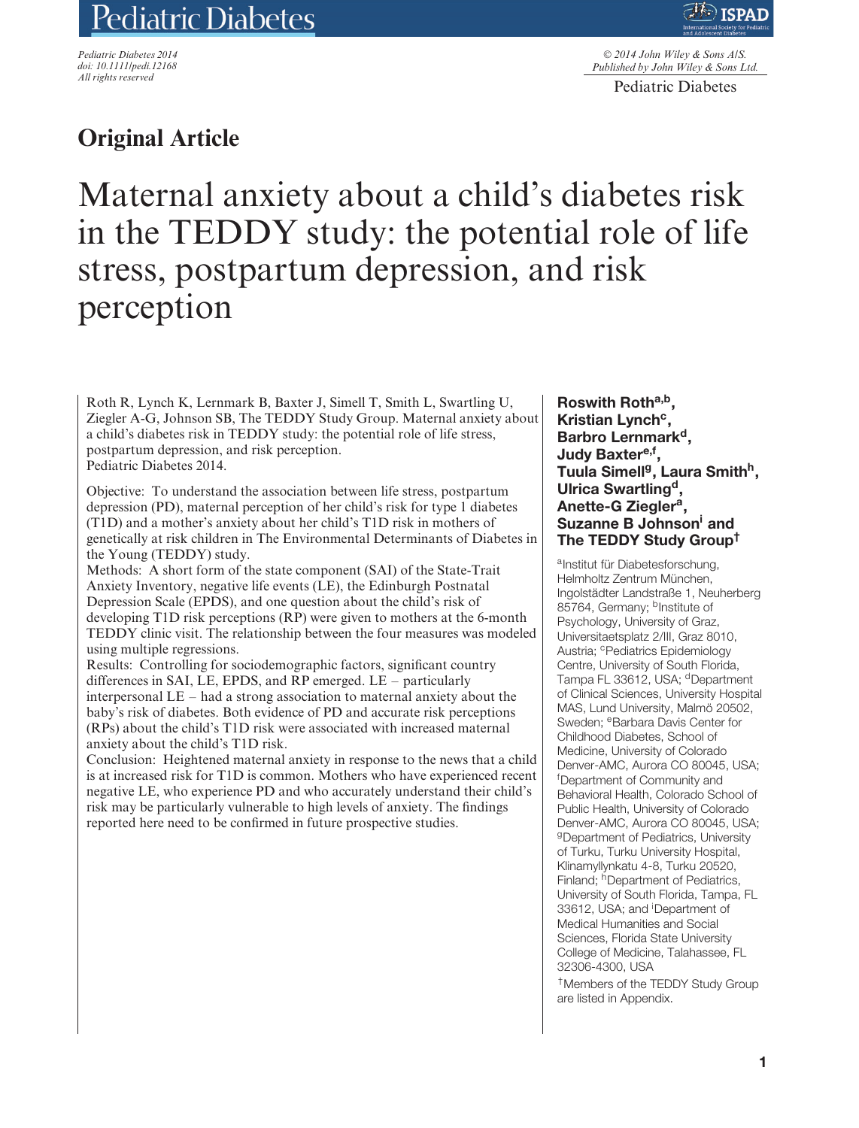# Pediatric Diabetes

*Pediatric Diabetes 2014 doi: 10.1111/pedi.12168 All rights reserved*

© *2014 John Wiley & Sons A/S. Published by John Wiley & Sons Ltd.*

Pediatric Diabetes

# **Original Article**

Maternal anxiety about a child's diabetes risk in the TEDDY study: the potential role of life stress, postpartum depression, and risk perception

Roth R, Lynch K, Lernmark B, Baxter J, Simell T, Smith L, Swartling U, Ziegler A-G, Johnson SB, The TEDDY Study Group. Maternal anxiety about a child's diabetes risk in TEDDY study: the potential role of life stress, postpartum depression, and risk perception. Pediatric Diabetes 2014.

Objective: To understand the association between life stress, postpartum depression (PD), maternal perception of her child's risk for type 1 diabetes (T1D) and a mother's anxiety about her child's T1D risk in mothers of genetically at risk children in The Environmental Determinants of Diabetes in the Young (TEDDY) study.

Methods: A short form of the state component (SAI) of the State-Trait Anxiety Inventory, negative life events (LE), the Edinburgh Postnatal Depression Scale (EPDS), and one question about the child's risk of developing T1D risk perceptions (RP) were given to mothers at the 6-month TEDDY clinic visit. The relationship between the four measures was modeled using multiple regressions.

Results: Controlling for sociodemographic factors, significant country differences in SAI, LE, EPDS, and RP emerged. LE – particularly interpersonal LE – had a strong association to maternal anxiety about the baby's risk of diabetes. Both evidence of PD and accurate risk perceptions (RPs) about the child's T1D risk were associated with increased maternal anxiety about the child's T1D risk.

Conclusion: Heightened maternal anxiety in response to the news that a child is at increased risk for T1D is common. Mothers who have experienced recent negative LE, who experience PD and who accurately understand their child's risk may be particularly vulnerable to high levels of anxiety. The findings reported here need to be confirmed in future prospective studies.

**Roswith Rotha,b, Kristian Lynch<sup>c</sup>,** Barbro Lernmark<sup>d</sup>, Judy Baxter<sup>e,f</sup>, **Tuula Simellg, Laura Smithh, Ulrica Swartlingd, Anette-G Zieglera, Suzanne B Johnsoni and The TEDDY Study Group†**

a<sub>Institut für Diabetesforschung</sub> Helmholtz Zentrum München, Ingolstädter Landstraße 1, Neuherberg 85764, Germany; <sup>b</sup>Institute of Psychology, University of Graz, Universitaetsplatz 2/III, Graz 8010, Austria; <sup>c</sup>Pediatrics Epidemiology Centre, University of South Florida, Tampa FL 33612, USA; <sup>d</sup>Department of Clinical Sciences, University Hospital MAS, Lund University, Malmö 20502, Sweden: <sup>e</sup>Barbara Davis Center for Childhood Diabetes, School of Medicine, University of Colorado Denver-AMC, Aurora CO 80045, USA; f Department of Community and Behavioral Health, Colorado School of Public Health, University of Colorado Denver-AMC, Aurora CO 80045, USA; <sup>g</sup>Department of Pediatrics, University of Turku, Turku University Hospital, Klinamyllynkatu 4-8, Turku 20520, Finland; hDepartment of Pediatrics, University of South Florida, Tampa, FL 33612, USA; and <sup>i</sup>Department of Medical Humanities and Social Sciences, Florida State University College of Medicine, Talahassee, FL 32306-4300, USA

†Members of the TEDDY Study Group are listed in Appendix.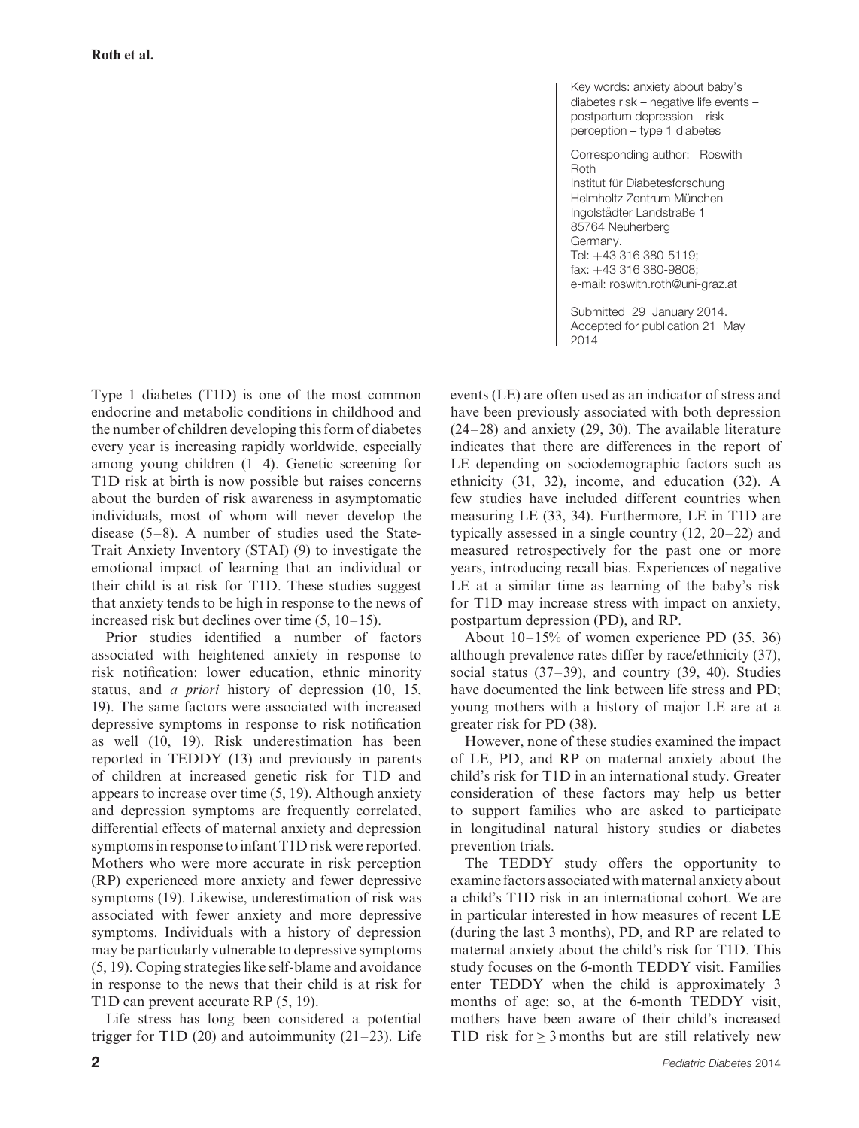Key words: anxiety about baby's diabetes risk – negative life events – postpartum depression – risk perception – type 1 diabetes

Corresponding author: Roswith Roth Institut für Diabetesforschung Helmholtz Zentrum München Ingolstädter Landstraße 1 85764 Neuherberg Germany. Tel: +43 316 380-5119; fax: +43 316 380-9808; e-mail: roswith.roth@uni-graz.at

Submitted 29 January 2014. Accepted for publication 21 May 2014

Type 1 diabetes (T1D) is one of the most common endocrine and metabolic conditions in childhood and the number of children developing this form of diabetes every year is increasing rapidly worldwide, especially among young children (1–4). Genetic screening for T1D risk at birth is now possible but raises concerns about the burden of risk awareness in asymptomatic individuals, most of whom will never develop the disease  $(5-8)$ . A number of studies used the State-Trait Anxiety Inventory (STAI) (9) to investigate the emotional impact of learning that an individual or their child is at risk for T1D. These studies suggest that anxiety tends to be high in response to the news of increased risk but declines over time (5, 10–15).

Prior studies identified a number of factors associated with heightened anxiety in response to risk notification: lower education, ethnic minority status, and *a priori* history of depression (10, 15, 19). The same factors were associated with increased depressive symptoms in response to risk notification as well (10, 19). Risk underestimation has been reported in TEDDY (13) and previously in parents of children at increased genetic risk for T1D and appears to increase over time (5, 19). Although anxiety and depression symptoms are frequently correlated, differential effects of maternal anxiety and depression symptoms in response to infant T1D risk were reported. Mothers who were more accurate in risk perception (RP) experienced more anxiety and fewer depressive symptoms (19). Likewise, underestimation of risk was associated with fewer anxiety and more depressive symptoms. Individuals with a history of depression may be particularly vulnerable to depressive symptoms (5, 19). Coping strategies like self-blame and avoidance in response to the news that their child is at risk for T1D can prevent accurate RP (5, 19).

Life stress has long been considered a potential trigger for T1D (20) and autoimmunity  $(21-23)$ . Life events (LE) are often used as an indicator of stress and have been previously associated with both depression (24–28) and anxiety (29, 30). The available literature indicates that there are differences in the report of LE depending on sociodemographic factors such as ethnicity (31, 32), income, and education (32). A few studies have included different countries when measuring LE (33, 34). Furthermore, LE in T1D are typically assessed in a single country (12, 20–22) and measured retrospectively for the past one or more years, introducing recall bias. Experiences of negative LE at a similar time as learning of the baby's risk for T1D may increase stress with impact on anxiety, postpartum depression (PD), and RP.

About 10–15% of women experience PD (35, 36) although prevalence rates differ by race/ethnicity (37), social status  $(37-39)$ , and country  $(39, 40)$ . Studies have documented the link between life stress and PD; young mothers with a history of major LE are at a greater risk for PD (38).

However, none of these studies examined the impact of LE, PD, and RP on maternal anxiety about the child's risk for T1D in an international study. Greater consideration of these factors may help us better to support families who are asked to participate in longitudinal natural history studies or diabetes prevention trials.

The TEDDY study offers the opportunity to examine factors associated with maternal anxiety about a child's T1D risk in an international cohort. We are in particular interested in how measures of recent LE (during the last 3 months), PD, and RP are related to maternal anxiety about the child's risk for T1D. This study focuses on the 6-month TEDDY visit. Families enter TEDDY when the child is approximately 3 months of age; so, at the 6-month TEDDY visit, mothers have been aware of their child's increased T1D risk for  $> 3$  months but are still relatively new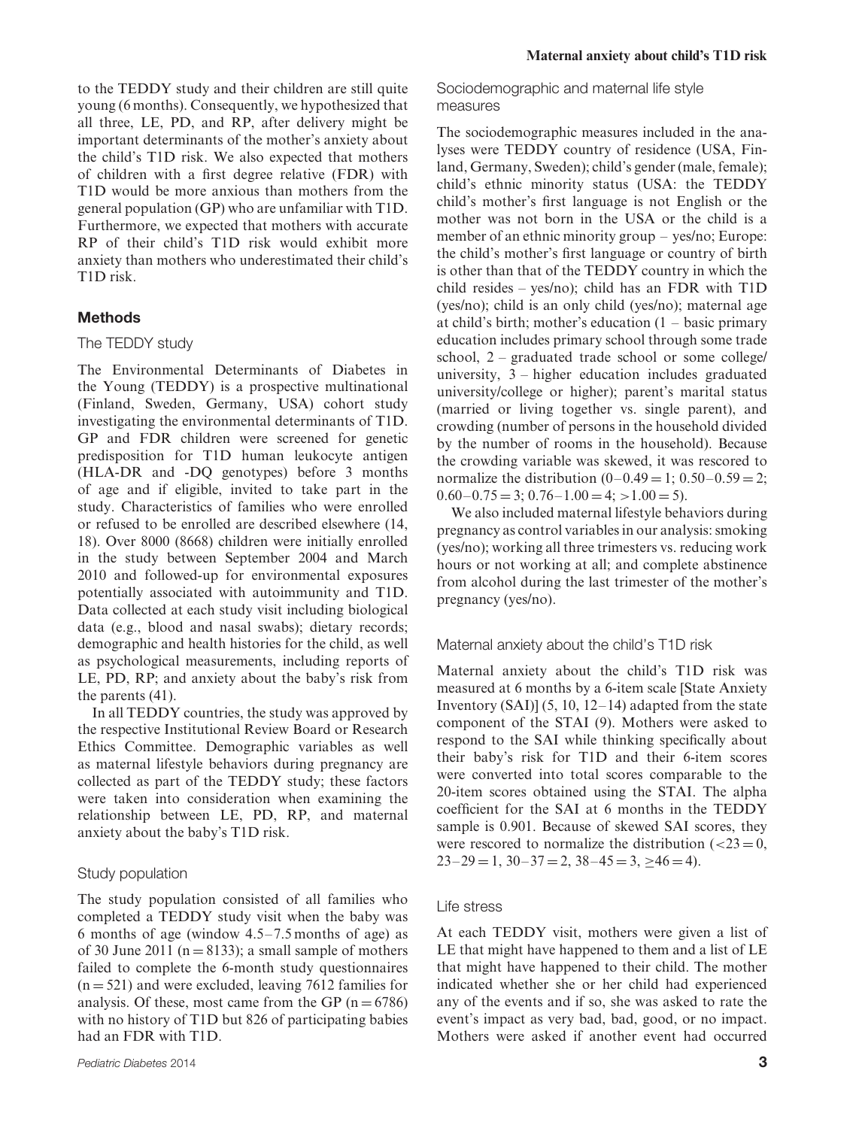to the TEDDY study and their children are still quite young (6 months). Consequently, we hypothesized that all three, LE, PD, and RP, after delivery might be important determinants of the mother's anxiety about the child's T1D risk. We also expected that mothers of children with a first degree relative (FDR) with T1D would be more anxious than mothers from the general population (GP) who are unfamiliar with T1D. Furthermore, we expected that mothers with accurate RP of their child's T1D risk would exhibit more anxiety than mothers who underestimated their child's T1D risk.

#### **Methods**

#### The TEDDY study

The Environmental Determinants of Diabetes in the Young (TEDDY) is a prospective multinational (Finland, Sweden, Germany, USA) cohort study investigating the environmental determinants of T1D. GP and FDR children were screened for genetic predisposition for T1D human leukocyte antigen (HLA-DR and -DQ genotypes) before 3 months of age and if eligible, invited to take part in the study. Characteristics of families who were enrolled or refused to be enrolled are described elsewhere (14, 18). Over 8000 (8668) children were initially enrolled in the study between September 2004 and March 2010 and followed-up for environmental exposures potentially associated with autoimmunity and T1D. Data collected at each study visit including biological data (e.g., blood and nasal swabs); dietary records; demographic and health histories for the child, as well as psychological measurements, including reports of LE, PD, RP; and anxiety about the baby's risk from the parents (41).

In all TEDDY countries, the study was approved by the respective Institutional Review Board or Research Ethics Committee. Demographic variables as well as maternal lifestyle behaviors during pregnancy are collected as part of the TEDDY study; these factors were taken into consideration when examining the relationship between LE, PD, RP, and maternal anxiety about the baby's T1D risk.

#### Study population

The study population consisted of all families who completed a TEDDY study visit when the baby was 6 months of age (window 4.5–7.5 months of age) as of 30 June 2011 ( $n = 8133$ ); a small sample of mothers failed to complete the 6-month study questionnaires  $(n = 521)$  and were excluded, leaving 7612 families for analysis. Of these, most came from the GP  $(n = 6786)$ with no history of T1D but 826 of participating babies had an FDR with T1D.

Sociodemographic and maternal life style measures

The sociodemographic measures included in the analyses were TEDDY country of residence (USA, Finland, Germany, Sweden); child's gender (male, female); child's ethnic minority status (USA: the TEDDY child's mother's first language is not English or the mother was not born in the USA or the child is a member of an ethnic minority group – yes/no; Europe: the child's mother's first language or country of birth is other than that of the TEDDY country in which the child resides – yes/no); child has an FDR with T1D (yes/no); child is an only child (yes/no); maternal age at child's birth; mother's education  $(1 - \text{basic primary})$ education includes primary school through some trade school, 2 – graduated trade school or some college/ university, 3 – higher education includes graduated university/college or higher); parent's marital status (married or living together vs. single parent), and crowding (number of persons in the household divided by the number of rooms in the household). Because the crowding variable was skewed, it was rescored to normalize the distribution  $(0-0.49 = 1; 0.50-0.59 = 2;$  $0.60 - 0.75 = 3$ ;  $0.76 - 1.00 = 4$ ;  $> 1.00 = 5$ ).

We also included maternal lifestyle behaviors during pregnancy as control variables in our analysis: smoking (yes/no); working all three trimesters vs. reducing work hours or not working at all; and complete abstinence from alcohol during the last trimester of the mother's pregnancy (yes/no).

Maternal anxiety about the child's T1D risk

Maternal anxiety about the child's T1D risk was measured at 6 months by a 6-item scale [State Anxiety Inventory  $(SAI)$ ]  $(5, 10, 12-14)$  adapted from the state component of the STAI (9). Mothers were asked to respond to the SAI while thinking specifically about their baby's risk for T1D and their 6-item scores were converted into total scores comparable to the 20-item scores obtained using the STAI. The alpha coefficient for the SAI at 6 months in the TEDDY sample is 0.901. Because of skewed SAI scores, they were rescored to normalize the distribution  $\left( < 23 = 0 \right)$ ,  $23-29 = 1$ ,  $30-37 = 2$ ,  $38-45 = 3$ ,  $\geq 46 = 4$ ).

#### Life stress

At each TEDDY visit, mothers were given a list of LE that might have happened to them and a list of LE that might have happened to their child. The mother indicated whether she or her child had experienced any of the events and if so, she was asked to rate the event's impact as very bad, bad, good, or no impact. Mothers were asked if another event had occurred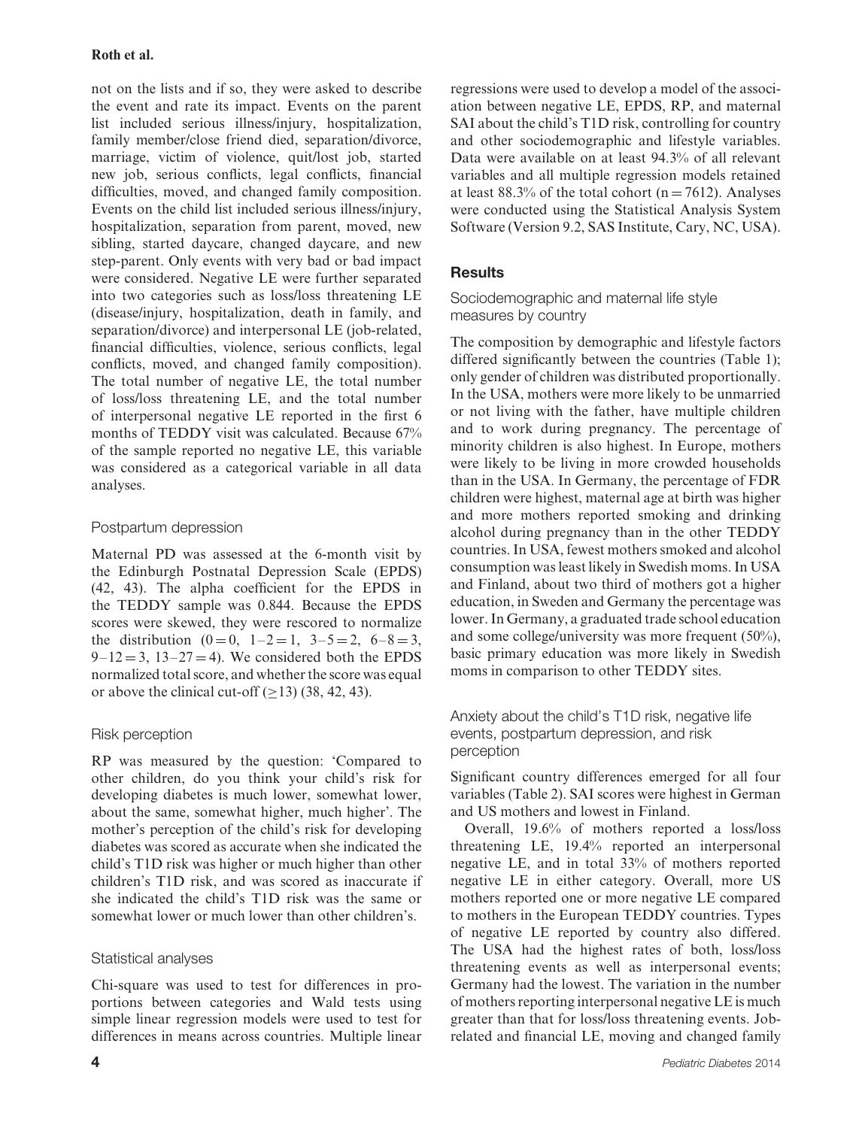not on the lists and if so, they were asked to describe the event and rate its impact. Events on the parent list included serious illness/injury, hospitalization, family member/close friend died, separation/divorce, marriage, victim of violence, quit/lost job, started new job, serious conflicts, legal conflicts, financial difficulties, moved, and changed family composition. Events on the child list included serious illness/injury, hospitalization, separation from parent, moved, new sibling, started daycare, changed daycare, and new step-parent. Only events with very bad or bad impact were considered. Negative LE were further separated into two categories such as loss/loss threatening LE (disease/injury, hospitalization, death in family, and separation/divorce) and interpersonal LE (job-related, financial difficulties, violence, serious conflicts, legal conflicts, moved, and changed family composition). The total number of negative LE, the total number of loss/loss threatening LE, and the total number of interpersonal negative LE reported in the first 6 months of TEDDY visit was calculated. Because 67% of the sample reported no negative LE, this variable was considered as a categorical variable in all data analyses.

# Postpartum depression

Maternal PD was assessed at the 6-month visit by the Edinburgh Postnatal Depression Scale (EPDS) (42, 43). The alpha coefficient for the EPDS in the TEDDY sample was 0.844. Because the EPDS scores were skewed, they were rescored to normalize the distribution  $(0 = 0, 1 - 2 = 1, 3 - 5 = 2, 6 - 8 = 3,$  $9-12=3$ ,  $13-27=4$ ). We considered both the EPDS normalized total score, and whether the score was equal or above the clinical cut-off  $(>13)$  (38, 42, 43).

# Risk perception

RP was measured by the question: 'Compared to other children, do you think your child's risk for developing diabetes is much lower, somewhat lower, about the same, somewhat higher, much higher'. The mother's perception of the child's risk for developing diabetes was scored as accurate when she indicated the child's T1D risk was higher or much higher than other children's T1D risk, and was scored as inaccurate if she indicated the child's T1D risk was the same or somewhat lower or much lower than other children's.

# Statistical analyses

Chi-square was used to test for differences in proportions between categories and Wald tests using simple linear regression models were used to test for differences in means across countries. Multiple linear regressions were used to develop a model of the association between negative LE, EPDS, RP, and maternal SAI about the child's T1D risk, controlling for country and other sociodemographic and lifestyle variables. Data were available on at least 94.3% of all relevant variables and all multiple regression models retained at least 88.3% of the total cohort ( $n = 7612$ ). Analyses were conducted using the Statistical Analysis System Software (Version 9.2, SAS Institute, Cary, NC, USA).

# **Results**

Sociodemographic and maternal life style measures by country

The composition by demographic and lifestyle factors differed significantly between the countries (Table 1); only gender of children was distributed proportionally. In the USA, mothers were more likely to be unmarried or not living with the father, have multiple children and to work during pregnancy. The percentage of minority children is also highest. In Europe, mothers were likely to be living in more crowded households than in the USA. In Germany, the percentage of FDR children were highest, maternal age at birth was higher and more mothers reported smoking and drinking alcohol during pregnancy than in the other TEDDY countries. In USA, fewest mothers smoked and alcohol consumption was least likely in Swedish moms. In USA and Finland, about two third of mothers got a higher education, in Sweden and Germany the percentage was lower. In Germany, a graduated trade school education and some college/university was more frequent (50%), basic primary education was more likely in Swedish moms in comparison to other TEDDY sites.

Anxiety about the child's T1D risk, negative life events, postpartum depression, and risk perception

Significant country differences emerged for all four variables (Table 2). SAI scores were highest in German and US mothers and lowest in Finland.

Overall, 19.6% of mothers reported a loss/loss threatening LE, 19.4% reported an interpersonal negative LE, and in total 33% of mothers reported negative LE in either category. Overall, more US mothers reported one or more negative LE compared to mothers in the European TEDDY countries. Types of negative LE reported by country also differed. The USA had the highest rates of both, loss/loss threatening events as well as interpersonal events; Germany had the lowest. The variation in the number of mothers reporting interpersonal negative LE is much greater than that for loss/loss threatening events. Jobrelated and financial LE, moving and changed family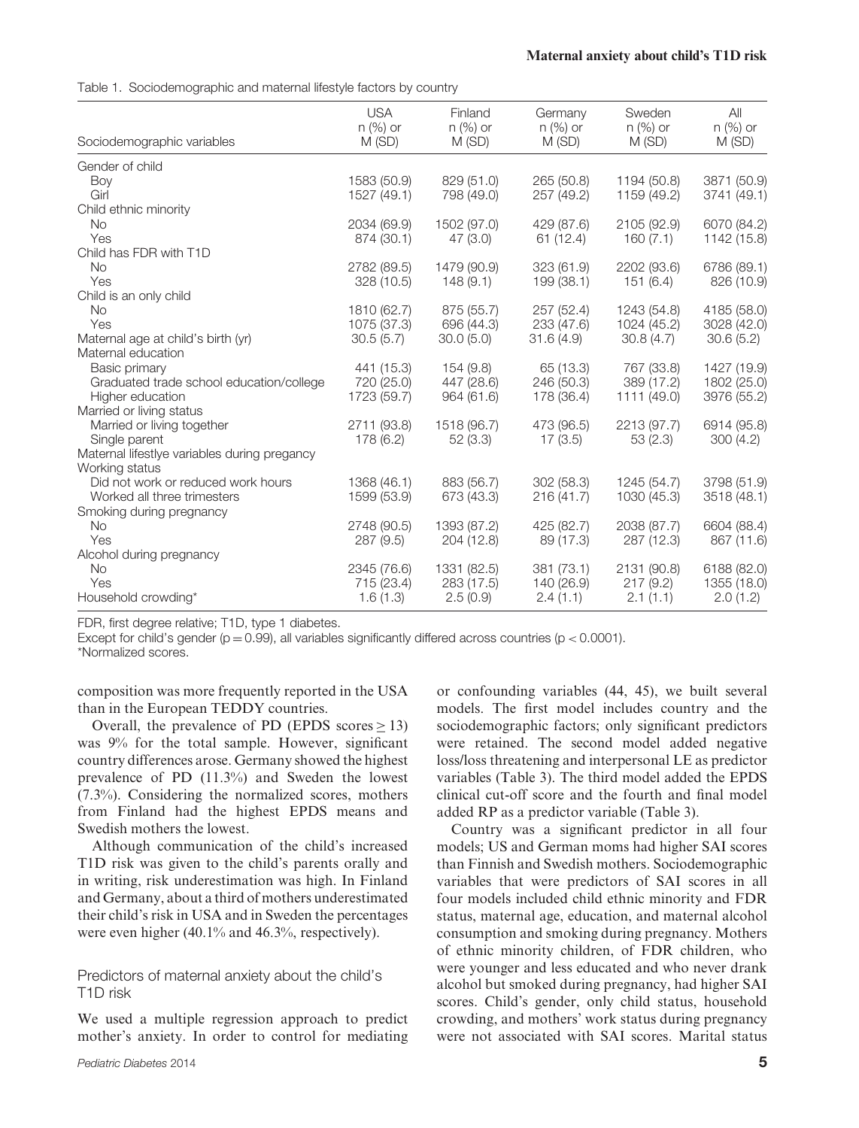Table 1. Sociodemographic and maternal lifestyle factors by country

| Sociodemographic variables                   | <b>USA</b><br>$n$ (%) or<br>M(SD) | Finland<br>$n$ (%) or<br>M (SD) | Germany<br>$n$ (%) or<br>M(SD) | Sweden<br>$n$ (%) or<br>M (SD) | All<br>$n$ (%) or<br>M(SD) |
|----------------------------------------------|-----------------------------------|---------------------------------|--------------------------------|--------------------------------|----------------------------|
| Gender of child                              |                                   |                                 |                                |                                |                            |
| Boy                                          | 1583 (50.9)                       | 829 (51.0)                      | 265 (50.8)                     | 1194 (50.8)                    | 3871 (50.9)                |
| Girl                                         | 1527 (49.1)                       | 798 (49.0)                      | 257 (49.2)                     | 1159 (49.2)                    | 3741 (49.1)                |
| Child ethnic minority                        |                                   |                                 |                                |                                |                            |
| No.                                          | 2034 (69.9)                       | 1502 (97.0)                     | 429 (87.6)                     | 2105 (92.9)                    | 6070 (84.2)                |
| Yes                                          | 874 (30.1)                        | 47 (3.0)                        | 61 (12.4)                      | 160(7.1)                       | 1142 (15.8)                |
| Child has FDR with T1D                       |                                   |                                 |                                |                                |                            |
| <b>No</b>                                    | 2782 (89.5)                       | 1479 (90.9)                     | 323 (61.9)                     | 2202 (93.6)                    | 6786 (89.1)                |
| Yes                                          | 328 (10.5)                        | 148(9.1)                        | 199 (38.1)                     | 151(6.4)                       | 826 (10.9)                 |
| Child is an only child                       |                                   |                                 |                                |                                |                            |
| <b>No</b>                                    | 1810 (62.7)                       | 875 (55.7)                      | 257 (52.4)                     | 1243 (54.8)                    | 4185 (58.0)                |
| Yes                                          | 1075 (37.3)                       | 696 (44.3)                      | 233 (47.6)                     | 1024 (45.2)                    | 3028 (42.0)                |
| Maternal age at child's birth (yr)           | 30.5(5.7)                         | 30.0(5.0)                       | 31.6(4.9)                      | 30.8(4.7)                      | 30.6(5.2)                  |
| Maternal education                           |                                   |                                 |                                |                                |                            |
| Basic primary                                | 441 (15.3)                        | 154 (9.8)                       | 65 (13.3)                      | 767 (33.8)                     | 1427 (19.9)                |
| Graduated trade school education/college     | 720 (25.0)                        | 447 (28.6)                      | 246 (50.3)                     | 389 (17.2)                     | 1802 (25.0)                |
| Higher education                             | 1723 (59.7)                       | 964 (61.6)                      | 178 (36.4)                     | 1111 (49.0)                    | 3976 (55.2)                |
| Married or living status                     |                                   |                                 |                                |                                |                            |
| Married or living together                   | 2711 (93.8)                       | 1518 (96.7)                     | 473 (96.5)                     | 2213 (97.7)                    | 6914 (95.8)                |
| Single parent                                | 178 (6.2)                         | 52(3.3)                         | 17(3.5)                        | 53(2.3)                        | 300(4.2)                   |
| Maternal lifestlye variables during pregancy |                                   |                                 |                                |                                |                            |
| Working status                               |                                   |                                 |                                |                                |                            |
| Did not work or reduced work hours           | 1368 (46.1)                       | 883 (56.7)                      | 302(58.3)                      | 1245 (54.7)                    | 3798 (51.9)                |
| Worked all three trimesters                  | 1599 (53.9)                       | 673 (43.3)                      | 216(41.7)                      | 1030 (45.3)                    | 3518 (48.1)                |
| Smoking during pregnancy                     |                                   |                                 |                                |                                |                            |
| <b>No</b>                                    | 2748 (90.5)                       | 1393 (87.2)                     | 425 (82.7)                     | 2038 (87.7)                    | 6604 (88.4)                |
| Yes                                          | 287(9.5)                          | 204 (12.8)                      | 89 (17.3)                      | 287 (12.3)                     | 867 (11.6)                 |
| Alcohol during pregnancy                     |                                   |                                 |                                |                                |                            |
| <b>No</b>                                    | 2345 (76.6)                       | 1331 (82.5)                     | 381 (73.1)                     | 2131 (90.8)                    | 6188 (82.0)                |
| Yes                                          | 715 (23.4)                        | 283 (17.5)                      | 140 (26.9)                     | 217(9.2)                       | 1355 (18.0)                |
| Household crowding*                          | 1.6(1.3)                          | 2.5(0.9)                        | 2.4(1.1)                       | 2.1(1.1)                       | 2.0(1.2)                   |

FDR, first degree relative; T1D, type 1 diabetes.

Except for child's gender (p = 0.99), all variables significantly differed across countries (p *<* 0.0001).

\*Normalized scores.

composition was more frequently reported in the USA than in the European TEDDY countries.

Overall, the prevalence of PD (EPDS scores  $> 13$ ) was 9% for the total sample. However, significant country differences arose. Germany showed the highest prevalence of PD (11.3%) and Sweden the lowest (7.3%). Considering the normalized scores, mothers from Finland had the highest EPDS means and Swedish mothers the lowest.

Although communication of the child's increased T1D risk was given to the child's parents orally and in writing, risk underestimation was high. In Finland and Germany, about a third of mothers underestimated their child's risk in USA and in Sweden the percentages were even higher (40.1% and 46.3%, respectively).

Predictors of maternal anxiety about the child's T1D risk

We used a multiple regression approach to predict mother's anxiety. In order to control for mediating or confounding variables (44, 45), we built several models. The first model includes country and the sociodemographic factors; only significant predictors were retained. The second model added negative loss/loss threatening and interpersonal LE as predictor variables (Table 3). The third model added the EPDS clinical cut-off score and the fourth and final model added RP as a predictor variable (Table 3).

Country was a significant predictor in all four models; US and German moms had higher SAI scores than Finnish and Swedish mothers. Sociodemographic variables that were predictors of SAI scores in all four models included child ethnic minority and FDR status, maternal age, education, and maternal alcohol consumption and smoking during pregnancy. Mothers of ethnic minority children, of FDR children, who were younger and less educated and who never drank alcohol but smoked during pregnancy, had higher SAI scores. Child's gender, only child status, household crowding, and mothers' work status during pregnancy were not associated with SAI scores. Marital status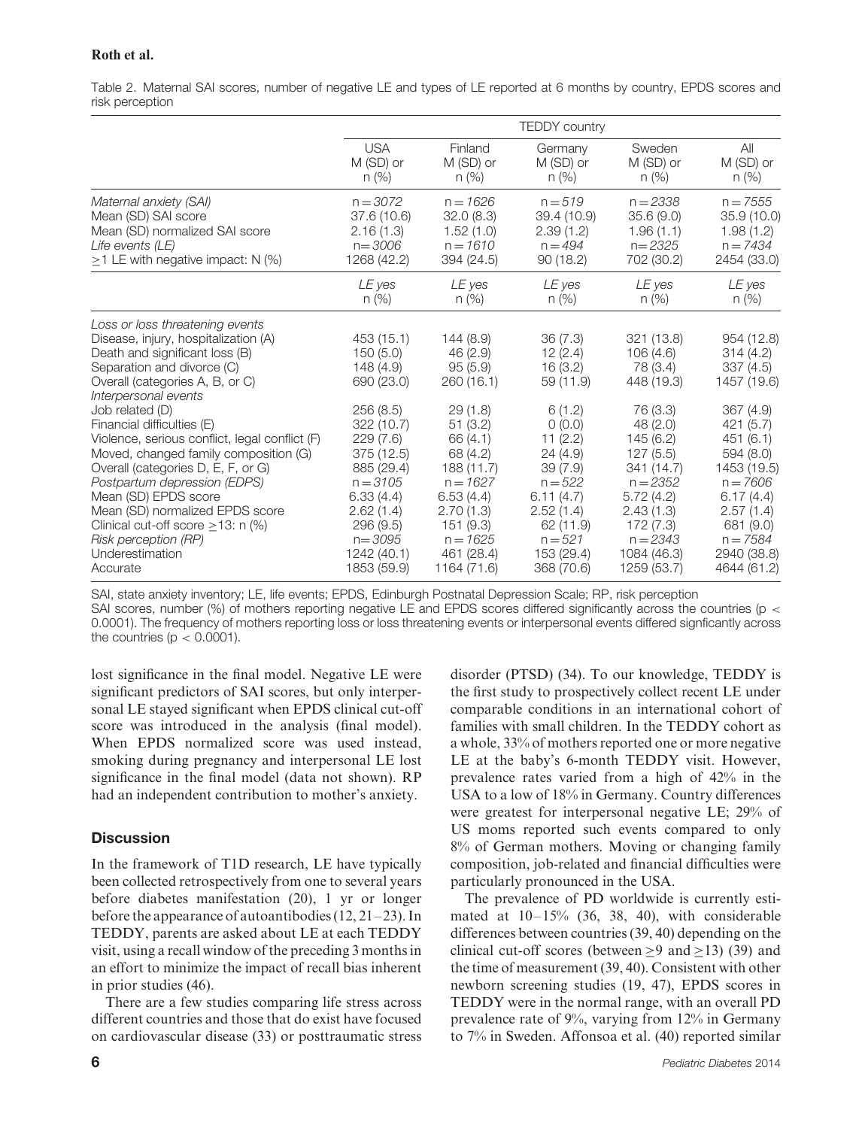Table 2. Maternal SAI scores, number of negative LE and types of LE reported at 6 months by country, EPDS scores and risk perception

|                                                                                                                                                                                                                                                                                                                                                                                                                                                                                                                                                                                   | <b>TEDDY</b> country                                                                                                                                                                                                 |                                                                                                                                                                                                          |                                                                                                                                                                                              |                                                                                                                                                                                                                 |                                                                                                                                                                                                                    |  |
|-----------------------------------------------------------------------------------------------------------------------------------------------------------------------------------------------------------------------------------------------------------------------------------------------------------------------------------------------------------------------------------------------------------------------------------------------------------------------------------------------------------------------------------------------------------------------------------|----------------------------------------------------------------------------------------------------------------------------------------------------------------------------------------------------------------------|----------------------------------------------------------------------------------------------------------------------------------------------------------------------------------------------------------|----------------------------------------------------------------------------------------------------------------------------------------------------------------------------------------------|-----------------------------------------------------------------------------------------------------------------------------------------------------------------------------------------------------------------|--------------------------------------------------------------------------------------------------------------------------------------------------------------------------------------------------------------------|--|
|                                                                                                                                                                                                                                                                                                                                                                                                                                                                                                                                                                                   | <b>USA</b>                                                                                                                                                                                                           | Finland                                                                                                                                                                                                  | Germany                                                                                                                                                                                      | Sweden                                                                                                                                                                                                          | All                                                                                                                                                                                                                |  |
|                                                                                                                                                                                                                                                                                                                                                                                                                                                                                                                                                                                   | M (SD) or                                                                                                                                                                                                            | M (SD) or                                                                                                                                                                                                | M (SD) or                                                                                                                                                                                    | M (SD) or                                                                                                                                                                                                       | M (SD) or                                                                                                                                                                                                          |  |
|                                                                                                                                                                                                                                                                                                                                                                                                                                                                                                                                                                                   | $n$ (%)                                                                                                                                                                                                              | $n (\%)$                                                                                                                                                                                                 | $n (\%)$                                                                                                                                                                                     | $n (\%)$                                                                                                                                                                                                        | $n (\%)$                                                                                                                                                                                                           |  |
| Maternal anxiety (SAI)                                                                                                                                                                                                                                                                                                                                                                                                                                                                                                                                                            | $n = 3072$                                                                                                                                                                                                           | $n = 1626$                                                                                                                                                                                               | $n = 519$                                                                                                                                                                                    | $n = 2338$                                                                                                                                                                                                      | $n = 7555$                                                                                                                                                                                                         |  |
| Mean (SD) SAI score                                                                                                                                                                                                                                                                                                                                                                                                                                                                                                                                                               | 37.6 (10.6)                                                                                                                                                                                                          | 32.0(8.3)                                                                                                                                                                                                | 39.4 (10.9)                                                                                                                                                                                  | 35.6 (9.0)                                                                                                                                                                                                      | 35.9 (10.0)                                                                                                                                                                                                        |  |
| Mean (SD) normalized SAI score                                                                                                                                                                                                                                                                                                                                                                                                                                                                                                                                                    | 2.16(1.3)                                                                                                                                                                                                            | 1.52(1.0)                                                                                                                                                                                                | 2.39(1.2)                                                                                                                                                                                    | 1.96(1.1)                                                                                                                                                                                                       | 1.98(1.2)                                                                                                                                                                                                          |  |
| Life events (LE)                                                                                                                                                                                                                                                                                                                                                                                                                                                                                                                                                                  | $n = 3006$                                                                                                                                                                                                           | $n = 1610$                                                                                                                                                                                               | $n = 494$                                                                                                                                                                                    | $n = 2325$                                                                                                                                                                                                      | $n = 7434$                                                                                                                                                                                                         |  |
| $\geq$ 1 LE with negative impact: N (%)                                                                                                                                                                                                                                                                                                                                                                                                                                                                                                                                           | 1268 (42.2)                                                                                                                                                                                                          | 394 (24.5)                                                                                                                                                                                               | 90 (18.2)                                                                                                                                                                                    | 702 (30.2)                                                                                                                                                                                                      | 2454 (33.0)                                                                                                                                                                                                        |  |
|                                                                                                                                                                                                                                                                                                                                                                                                                                                                                                                                                                                   | LE yes                                                                                                                                                                                                               | LE yes                                                                                                                                                                                                   | LE yes                                                                                                                                                                                       | LE yes                                                                                                                                                                                                          | LE yes                                                                                                                                                                                                             |  |
|                                                                                                                                                                                                                                                                                                                                                                                                                                                                                                                                                                                   | $n$ (%)                                                                                                                                                                                                              | n (%)                                                                                                                                                                                                    | n (%)                                                                                                                                                                                        | n (%)                                                                                                                                                                                                           | n (%)                                                                                                                                                                                                              |  |
| Loss or loss threatening events<br>Disease, injury, hospitalization (A)<br>Death and significant loss (B)<br>Separation and divorce (C)<br>Overall (categories A, B, or C)<br>Interpersonal events<br>Job related (D)<br>Financial difficulties (E)<br>Violence, serious conflict, legal conflict (F)<br>Moved, changed family composition (G)<br>Overall (categories D, E, F, or G)<br>Postpartum depression (EDPS)<br>Mean (SD) EPDS score<br>Mean (SD) normalized EPDS score<br>Clinical cut-off score $\geq$ 13: n (%)<br>Risk perception (RP)<br>Underestimation<br>Accurate | 453 (15.1)<br>150(5.0)<br>148 (4.9)<br>690 (23.0)<br>256(8.5)<br>322 (10.7)<br>229(7.6)<br>375 (12.5)<br>885 (29.4)<br>$n = 3105$<br>6.33(4.4)<br>2.62(1.4)<br>296 (9.5)<br>$n = 3095$<br>1242 (40.1)<br>1853 (59.9) | 144(8.9)<br>46 (2.9)<br>95(5.9)<br>260(16.1)<br>29(1.8)<br>51(3.2)<br>66 (4.1)<br>68 (4.2)<br>188 (11.7)<br>$n = 1627$<br>6.53(4.4)<br>2.70(1.3)<br>151 (9.3)<br>$n = 1625$<br>461 (28.4)<br>1164 (71.6) | 36(7.3)<br>12(2.4)<br>16(3.2)<br>59 (11.9)<br>6(1.2)<br>0(0.0)<br>11(2.2)<br>24(4.9)<br>39(7.9)<br>$n = 522$<br>6.11(4.7)<br>2.52(1.4)<br>62 (11.9)<br>$n = 521$<br>153 (29.4)<br>368 (70.6) | 321 (13.8)<br>106(4.6)<br>78 (3.4)<br>448 (19.3)<br>76 (3.3)<br>48 (2.0)<br>145(6.2)<br>127(5.5)<br>341 (14.7)<br>$n = 2352$<br>5.72(4.2)<br>2.43(1.3)<br>172 (7.3)<br>$n = 2343$<br>1084 (46.3)<br>1259 (53.7) | 954 (12.8)<br>314(4.2)<br>337(4.5)<br>1457 (19.6)<br>367(4.9)<br>421(5.7)<br>451(6.1)<br>594 (8.0)<br>1453 (19.5)<br>$n = 7606$<br>6.17(4.4)<br>2.57(1.4)<br>681 (9.0)<br>$n = 7584$<br>2940 (38.8)<br>4644 (61.2) |  |

SAI, state anxiety inventory; LE, life events; EPDS, Edinburgh Postnatal Depression Scale; RP, risk perception

SAI scores, number (%) of mothers reporting negative LE and EPDS scores differed significantly across the countries (p *<* 0.0001). The frequency of mothers reporting loss or loss threatening events or interpersonal events differed signficantly across the countries (p *<* 0.0001).

lost significance in the final model. Negative LE were significant predictors of SAI scores, but only interpersonal LE stayed significant when EPDS clinical cut-off score was introduced in the analysis (final model). When EPDS normalized score was used instead, smoking during pregnancy and interpersonal LE lost significance in the final model (data not shown). RP had an independent contribution to mother's anxiety.

# **Discussion**

In the framework of T1D research, LE have typically been collected retrospectively from one to several years before diabetes manifestation (20), 1 yr or longer before the appearance of autoantibodies (12, 21–23). In TEDDY, parents are asked about LE at each TEDDY visit, using a recall window of the preceding 3 months in an effort to minimize the impact of recall bias inherent in prior studies (46).

There are a few studies comparing life stress across different countries and those that do exist have focused on cardiovascular disease (33) or posttraumatic stress disorder (PTSD) (34). To our knowledge, TEDDY is the first study to prospectively collect recent LE under comparable conditions in an international cohort of families with small children. In the TEDDY cohort as a whole, 33% of mothers reported one or more negative LE at the baby's 6-month TEDDY visit. However, prevalence rates varied from a high of 42% in the USA to a low of 18% in Germany. Country differences were greatest for interpersonal negative LE; 29% of US moms reported such events compared to only 8% of German mothers. Moving or changing family composition, job-related and financial difficulties were particularly pronounced in the USA.

The prevalence of PD worldwide is currently estimated at 10–15% (36, 38, 40), with considerable differences between countries (39, 40) depending on the clinical cut-off scores (between ≥9 and ≥13) (39) and the time of measurement (39, 40). Consistent with other newborn screening studies (19, 47), EPDS scores in TEDDY were in the normal range, with an overall PD prevalence rate of 9%, varying from 12% in Germany to 7% in Sweden. Affonsoa et al. (40) reported similar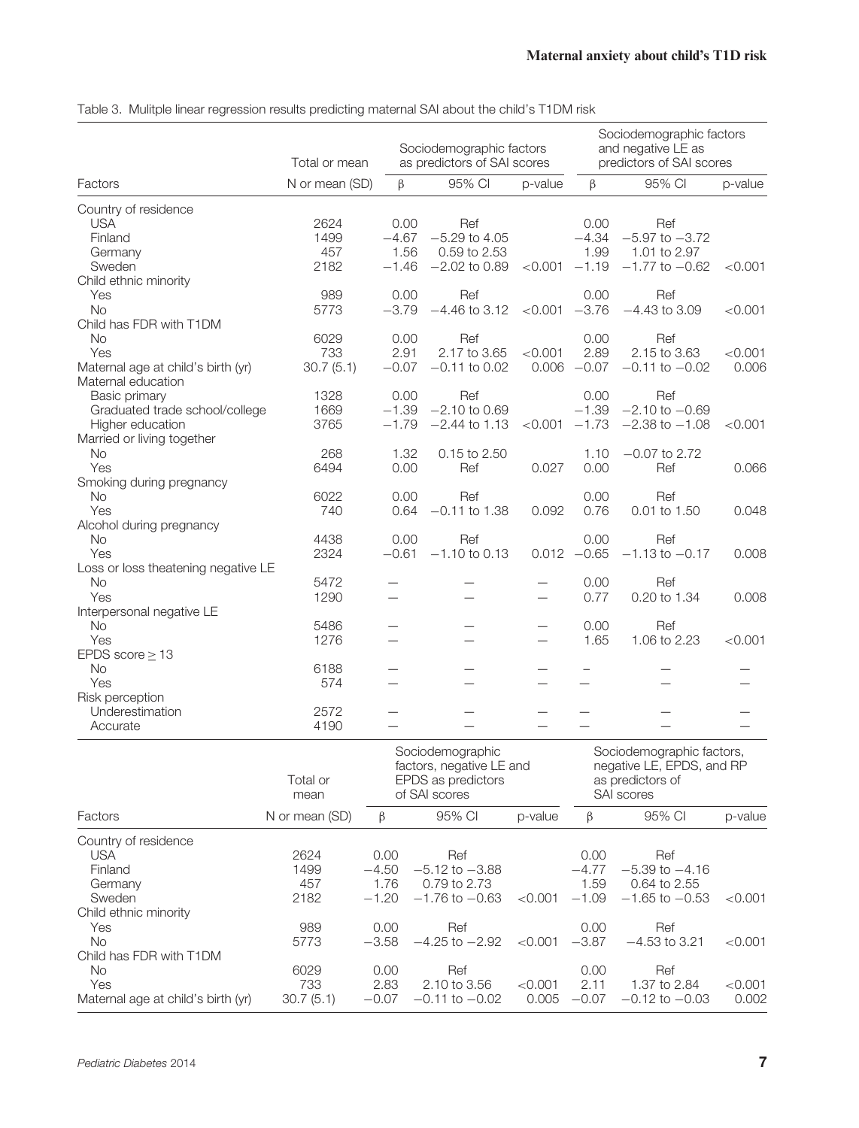|                                                  | Total or mean  | Sociodemographic factors<br>as predictors of SAI scores |                 |                          | Sociodemographic factors<br>and negative LE as<br>predictors of SAI scores |                     |         |
|--------------------------------------------------|----------------|---------------------------------------------------------|-----------------|--------------------------|----------------------------------------------------------------------------|---------------------|---------|
| Factors                                          | N or mean (SD) | β                                                       | 95% CI          | p-value                  | $\beta$                                                                    | 95% CI              | p-value |
| Country of residence                             |                |                                                         |                 |                          |                                                                            |                     |         |
| <b>USA</b>                                       | 2624           | 0.00                                                    | Ref             |                          | 0.00                                                                       | Ref                 |         |
| Finland                                          | 1499           | $-4.67$                                                 | $-5.29$ to 4.05 |                          | $-4.34$                                                                    | $-5.97$ to $-3.72$  |         |
| Germany                                          | 457            | 1.56                                                    | 0.59 to 2.53    |                          | 1.99                                                                       | 1.01 to 2.97        |         |
| Sweden                                           | 2182           | $-1.46$                                                 | $-2.02$ to 0.89 | < 0.001                  | $-1.19$                                                                    | $-1.77$ to $-0.62$  | < 0.001 |
| Child ethnic minority                            |                |                                                         |                 |                          |                                                                            |                     |         |
| Yes                                              | 989            | 0.00                                                    | Ref             |                          | 0.00                                                                       | Ref                 |         |
| <b>No</b>                                        | 5773           | $-3.79$                                                 | $-4.46$ to 3.12 | < 0.001                  | $-3.76$                                                                    | $-4.43$ to 3.09     | < 0.001 |
| Child has FDR with T1DM                          |                |                                                         |                 |                          |                                                                            |                     |         |
| <b>No</b>                                        | 6029           | 0.00                                                    | Ref             |                          | 0.00                                                                       | Ref                 |         |
| Yes                                              | 733            | 2.91                                                    | 2.17 to 3.65    | < 0.001                  | 2.89                                                                       | 2.15 to 3.63        | < 0.001 |
| Maternal age at child's birth (yr)               | 30.7(5.1)      | $-0.07$                                                 | $-0.11$ to 0.02 | 0.006                    | $-0.07$                                                                    | $-0.11$ to $-0.02$  | 0.006   |
| Maternal education                               |                |                                                         |                 |                          |                                                                            |                     |         |
| Basic primary                                    | 1328           | 0.00                                                    | Ref             |                          | 0.00                                                                       | Ref                 |         |
| Graduated trade school/college                   | 1669           | $-1.39$                                                 | $-2.10$ to 0.69 |                          | $-1.39$                                                                    | $-2.10$ to $-0.69$  |         |
| Higher education                                 | 3765           | $-1.79$                                                 | $-2.44$ to 1.13 | < 0.001                  | $-1.73$                                                                    | $-2.38$ to $-1.08$  | < 0.001 |
| Married or living together                       |                |                                                         |                 |                          |                                                                            |                     |         |
| <b>No</b>                                        | 268            | 1.32                                                    | 0.15 to 2.50    |                          | 1.10                                                                       | $-0.07$ to 2.72     |         |
| Yes                                              | 6494           | 0.00                                                    | Ref             | 0.027                    | 0.00                                                                       | Ref                 | 0.066   |
| Smoking during pregnancy                         |                |                                                         |                 |                          |                                                                            |                     |         |
| <b>No</b>                                        | 6022           | 0.00                                                    | Ref             |                          | 0.00                                                                       | Ref                 |         |
| Yes                                              | 740            | 0.64                                                    | $-0.11$ to 1.38 | 0.092                    | 0.76                                                                       | 0.01 to 1.50        | 0.048   |
| Alcohol during pregnancy                         |                |                                                         |                 |                          |                                                                            |                     |         |
| <b>No</b><br>Yes                                 | 4438<br>2324   | 0.00<br>$-0.61$                                         | Ref             |                          | 0.00<br>$0.012 -0.65$                                                      | Ref                 | 0.008   |
|                                                  |                |                                                         | $-1.10$ to 0.13 |                          |                                                                            | $-1.13$ to $-0.17$  |         |
| Loss or loss theatening negative LE<br><b>No</b> | 5472           |                                                         |                 |                          |                                                                            |                     |         |
| Yes                                              | 1290           |                                                         |                 | $\overline{\phantom{0}}$ | 0.00<br>0.77                                                               | Ref<br>0.20 to 1.34 | 0.008   |
|                                                  |                |                                                         |                 |                          |                                                                            |                     |         |
| Interpersonal negative LE<br><b>No</b>           | 5486           |                                                         |                 |                          | 0.00                                                                       | Ref                 |         |
| Yes                                              | 1276           |                                                         |                 | $\overline{\phantom{0}}$ | 1.65                                                                       | 1.06 to 2.23        | < 0.001 |
|                                                  |                |                                                         |                 |                          |                                                                            |                     |         |
| EPDS score $\geq$ 13                             | 6188           |                                                         |                 |                          |                                                                            |                     |         |
| No                                               |                |                                                         |                 |                          |                                                                            |                     |         |
| Yes<br>Risk perception                           | 574            |                                                         |                 |                          |                                                                            |                     |         |
|                                                  |                |                                                         |                 |                          |                                                                            |                     |         |
| Underestimation<br>Accurate                      | 2572<br>4190   |                                                         |                 |                          |                                                                            |                     |         |
|                                                  |                | $0 - 1 -$                                               | $1 - 2 =$       |                          | $\sim$                                                                     | $-1$ $-1$ $-1$      |         |

Table 3. Mulitple linear regression results predicting maternal SAI about the child's T1DM risk

|                                    | Total or<br>mean | Sociodemographic<br>factors, negative LE and<br>EPDS as predictors<br>of SAI scores |                    |         | Sociodemographic factors,<br>negative LE, EPDS, and RP<br>as predictors of<br>SAI scores |                    |         |
|------------------------------------|------------------|-------------------------------------------------------------------------------------|--------------------|---------|------------------------------------------------------------------------------------------|--------------------|---------|
| Factors                            | N or mean (SD)   | β                                                                                   | 95% CI             | p-value | β                                                                                        | 95% CI             | p-value |
| Country of residence               |                  |                                                                                     |                    |         |                                                                                          |                    |         |
| <b>USA</b>                         | 2624             | 0.00                                                                                | Ref                |         | 0.00                                                                                     | Ref                |         |
| Finland                            | 1499             | $-4.50$                                                                             | $-5.12$ to $-3.88$ |         | $-4.77$                                                                                  | $-5.39$ to $-4.16$ |         |
| Germany                            | 457              | 1.76                                                                                | 0.79 to 2.73       |         | 1.59                                                                                     | 0.64 to 2.55       |         |
| Sweden                             | 2182             | $-1.20$                                                                             | $-1.76$ to $-0.63$ | < 0.001 | $-1.09$                                                                                  | $-1.65$ to $-0.53$ | < 0.001 |
| Child ethnic minority              |                  |                                                                                     |                    |         |                                                                                          |                    |         |
| Yes                                | 989              | 0.00                                                                                | Ref                |         | 0.00                                                                                     | Ref                |         |
| No.                                | 5773             | $-3.58$                                                                             | $-4.25$ to $-2.92$ | < 0.001 | $-3.87$                                                                                  | $-4.53$ to 3.21    | < 0.001 |
| Child has FDR with T1DM            |                  |                                                                                     |                    |         |                                                                                          |                    |         |
| <b>No</b>                          | 6029             | 0.00                                                                                | Ref                |         | 0.00                                                                                     | Ref                |         |
| Yes                                | 733              | 2.83                                                                                | 2.10 to 3.56       | < 0.001 | 2.11                                                                                     | 1.37 to 2.84       | < 0.001 |
| Maternal age at child's birth (yr) | 30.7(5.1)        | $-0.07$                                                                             | $-0.11$ to $-0.02$ | 0.005   | $-0.07$                                                                                  | $-0.12$ to $-0.03$ | 0.002   |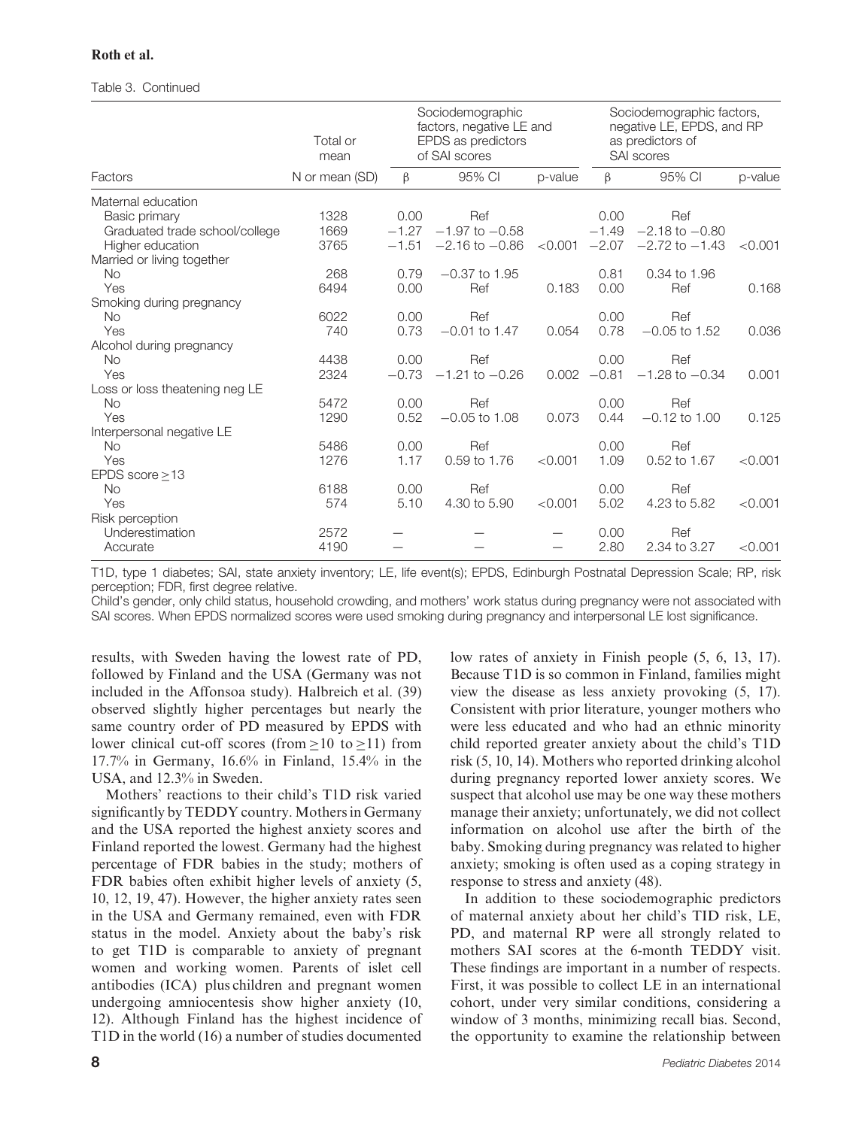#### Table 3. Continued

|                                | Total or<br>mean | Sociodemographic<br>factors, negative LE and<br>EPDS as predictors<br>of SAI scores |                    |            | Sociodemographic factors,<br>negative LE, EPDS, and RP<br>as predictors of<br>SAI scores |                    |         |
|--------------------------------|------------------|-------------------------------------------------------------------------------------|--------------------|------------|------------------------------------------------------------------------------------------|--------------------|---------|
| Factors                        | N or mean (SD)   | $\beta$                                                                             | 95% CI             | p-value    | $\beta$                                                                                  | 95% CI             | p-value |
| Maternal education             |                  |                                                                                     |                    |            |                                                                                          |                    |         |
| Basic primary                  | 1328             | 0.00                                                                                | Ref                |            | 0.00                                                                                     | Ref                |         |
| Graduated trade school/college | 1669             | $-1.27$                                                                             | $-1.97$ to $-0.58$ |            | $-1.49$                                                                                  | $-2.18$ to $-0.80$ |         |
| Higher education               | 3765             | $-1.51$                                                                             | $-2.16$ to $-0.86$ | ${<}0.001$ | $-2.07$                                                                                  | $-2.72$ to $-1.43$ | < 0.001 |
| Married or living together     |                  |                                                                                     |                    |            |                                                                                          |                    |         |
| No                             | 268              | 0.79                                                                                | $-0.37$ to 1.95    |            | 0.81                                                                                     | 0.34 to 1.96       |         |
| Yes                            | 6494             | 0.00                                                                                | Ref                | 0.183      | 0.00                                                                                     | Ref                | 0.168   |
| Smoking during pregnancy       |                  |                                                                                     |                    |            |                                                                                          |                    |         |
| <b>No</b>                      | 6022             | 0.00                                                                                | Ref                |            | 0.00                                                                                     | Ref                |         |
| Yes                            | 740              | 0.73                                                                                | $-0.01$ to 1.47    | 0.054      | 0.78                                                                                     | $-0.05$ to 1.52    | 0.036   |
| Alcohol during pregnancy       |                  |                                                                                     |                    |            |                                                                                          |                    |         |
| No                             | 4438             | 0.00                                                                                | Ref                |            | 0.00                                                                                     | Ref                |         |
| Yes                            | 2324             | $-0.73$                                                                             | $-1.21$ to $-0.26$ | 0.002      | $-0.81$                                                                                  | $-1.28$ to $-0.34$ | 0.001   |
| Loss or loss theatening neg LE |                  |                                                                                     |                    |            |                                                                                          |                    |         |
| No                             | 5472             | 0.00                                                                                | Ref                |            | 0.00                                                                                     | Ref                |         |
| Yes                            | 1290             | 0.52                                                                                | $-0.05$ to 1.08    | 0.073      | 0.44                                                                                     | $-0.12$ to 1.00    | 0.125   |
| Interpersonal negative LE      |                  |                                                                                     |                    |            |                                                                                          |                    |         |
| No                             | 5486             | 0.00                                                                                | Ref                |            | 0.00                                                                                     | Ref                |         |
| Yes                            | 1276             | 1.17                                                                                | 0.59 to 1.76       | < 0.001    | 1.09                                                                                     | 0.52 to 1.67       | < 0.001 |
| EPDS score $\geq$ 13           |                  |                                                                                     |                    |            |                                                                                          |                    |         |
| <b>No</b>                      | 6188             | 0.00                                                                                | Ref                |            | 0.00                                                                                     | Ref                |         |
| Yes                            | 574              | 5.10                                                                                | 4.30 to 5.90       | < 0.001    | 5.02                                                                                     | 4.23 to 5.82       | < 0.001 |
| Risk perception                |                  |                                                                                     |                    |            |                                                                                          |                    |         |
| Underestimation                | 2572             |                                                                                     |                    |            | 0.00                                                                                     | Ref                |         |
| Accurate                       | 4190             |                                                                                     |                    |            | 2.80                                                                                     | 2.34 to 3.27       | < 0.001 |

T1D, type 1 diabetes; SAI, state anxiety inventory; LE, life event(s); EPDS, Edinburgh Postnatal Depression Scale; RP, risk perception; FDR, first degree relative.

Child's gender, only child status, household crowding, and mothers' work status during pregnancy were not associated with SAI scores. When EPDS normalized scores were used smoking during pregnancy and interpersonal LE lost significance.

results, with Sweden having the lowest rate of PD, followed by Finland and the USA (Germany was not included in the Affonsoa study). Halbreich et al. (39) observed slightly higher percentages but nearly the same country order of PD measured by EPDS with lower clinical cut-off scores (from  $>10$  to  $>11$ ) from 17.7% in Germany, 16.6% in Finland, 15.4% in the USA, and 12.3% in Sweden.

Mothers' reactions to their child's T1D risk varied significantly by TEDDY country. Mothers in Germany and the USA reported the highest anxiety scores and Finland reported the lowest. Germany had the highest percentage of FDR babies in the study; mothers of FDR babies often exhibit higher levels of anxiety (5, 10, 12, 19, 47). However, the higher anxiety rates seen in the USA and Germany remained, even with FDR status in the model. Anxiety about the baby's risk to get T1D is comparable to anxiety of pregnant women and working women. Parents of islet cell antibodies (ICA) plus children and pregnant women undergoing amniocentesis show higher anxiety (10, 12). Although Finland has the highest incidence of T1D in the world (16) a number of studies documented

low rates of anxiety in Finish people (5, 6, 13, 17). Because T1D is so common in Finland, families might view the disease as less anxiety provoking (5, 17). Consistent with prior literature, younger mothers who were less educated and who had an ethnic minority child reported greater anxiety about the child's T1D risk (5, 10, 14). Mothers who reported drinking alcohol during pregnancy reported lower anxiety scores. We suspect that alcohol use may be one way these mothers manage their anxiety; unfortunately, we did not collect information on alcohol use after the birth of the baby. Smoking during pregnancy was related to higher anxiety; smoking is often used as a coping strategy in response to stress and anxiety (48).

In addition to these sociodemographic predictors of maternal anxiety about her child's TID risk, LE, PD, and maternal RP were all strongly related to mothers SAI scores at the 6-month TEDDY visit. These findings are important in a number of respects. First, it was possible to collect LE in an international cohort, under very similar conditions, considering a window of 3 months, minimizing recall bias. Second, the opportunity to examine the relationship between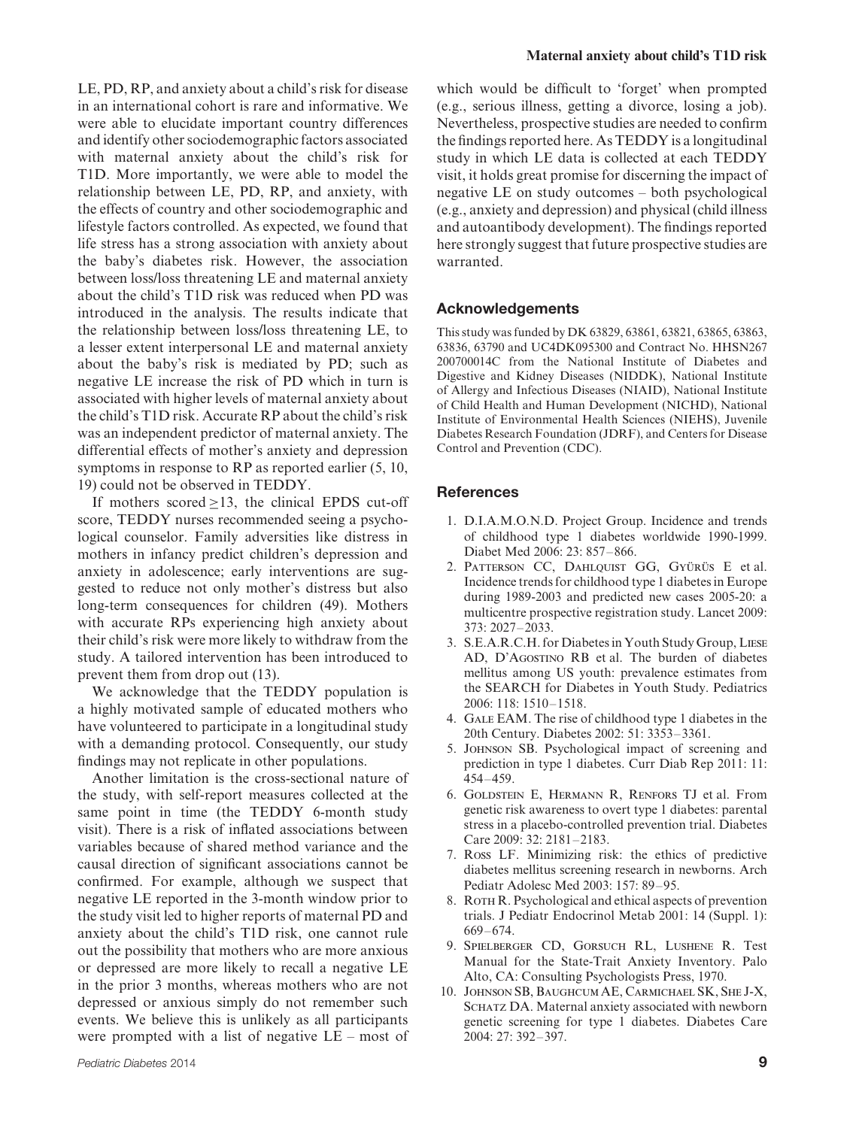LE, PD, RP, and anxiety about a child's risk for disease in an international cohort is rare and informative. We were able to elucidate important country differences and identify other sociodemographic factors associated with maternal anxiety about the child's risk for T1D. More importantly, we were able to model the relationship between LE, PD, RP, and anxiety, with the effects of country and other sociodemographic and lifestyle factors controlled. As expected, we found that life stress has a strong association with anxiety about the baby's diabetes risk. However, the association between loss/loss threatening LE and maternal anxiety about the child's T1D risk was reduced when PD was introduced in the analysis. The results indicate that the relationship between loss/loss threatening LE, to a lesser extent interpersonal LE and maternal anxiety about the baby's risk is mediated by PD; such as negative LE increase the risk of PD which in turn is associated with higher levels of maternal anxiety about the child's T1D risk. Accurate RP about the child's risk was an independent predictor of maternal anxiety. The differential effects of mother's anxiety and depression symptoms in response to RP as reported earlier (5, 10, 19) could not be observed in TEDDY.

If mothers scored  $\geq$ 13, the clinical EPDS cut-off score, TEDDY nurses recommended seeing a psychological counselor. Family adversities like distress in mothers in infancy predict children's depression and anxiety in adolescence; early interventions are suggested to reduce not only mother's distress but also long-term consequences for children (49). Mothers with accurate RPs experiencing high anxiety about their child's risk were more likely to withdraw from the study. A tailored intervention has been introduced to prevent them from drop out (13).

We acknowledge that the TEDDY population is a highly motivated sample of educated mothers who have volunteered to participate in a longitudinal study with a demanding protocol. Consequently, our study findings may not replicate in other populations.

Another limitation is the cross-sectional nature of the study, with self-report measures collected at the same point in time (the TEDDY 6-month study visit). There is a risk of inflated associations between variables because of shared method variance and the causal direction of significant associations cannot be confirmed. For example, although we suspect that negative LE reported in the 3-month window prior to the study visit led to higher reports of maternal PD and anxiety about the child's T1D risk, one cannot rule out the possibility that mothers who are more anxious or depressed are more likely to recall a negative LE in the prior 3 months, whereas mothers who are not depressed or anxious simply do not remember such events. We believe this is unlikely as all participants were prompted with a list of negative LE – most of

which would be difficult to 'forget' when prompted (e.g., serious illness, getting a divorce, losing a job). Nevertheless, prospective studies are needed to confirm the findings reported here. As TEDDY is a longitudinal study in which LE data is collected at each TEDDY visit, it holds great promise for discerning the impact of negative LE on study outcomes – both psychological (e.g., anxiety and depression) and physical (child illness and autoantibody development). The findings reported here strongly suggest that future prospective studies are warranted.

### **Acknowledgements**

This study was funded by DK 63829, 63861, 63821, 63865, 63863, 63836, 63790 and UC4DK095300 and Contract No. HHSN267 200700014C from the National Institute of Diabetes and Digestive and Kidney Diseases (NIDDK), National Institute of Allergy and Infectious Diseases (NIAID), National Institute of Child Health and Human Development (NICHD), National Institute of Environmental Health Sciences (NIEHS), Juvenile Diabetes Research Foundation (JDRF), and Centers for Disease Control and Prevention (CDC).

#### **References**

- 1. D.I.A.M.O.N.D. Project Group. Incidence and trends of childhood type 1 diabetes worldwide 1990-1999. Diabet Med 2006: 23: 857–866.
- 2. PATTERSON CC, DAHLQUIST GG, GYÜRÜS E et al. Incidence trends for childhood type 1 diabetes in Europe during 1989-2003 and predicted new cases 2005-20: a multicentre prospective registration study. Lancet 2009: 373: 2027–2033.
- 3. S.E.A.R.C.H. for Diabetes in Youth Study Group,Liese AD, D'Agostino RB et al. The burden of diabetes mellitus among US youth: prevalence estimates from the SEARCH for Diabetes in Youth Study. Pediatrics 2006: 118: 1510–1518.
- 4. Gale EAM. The rise of childhood type 1 diabetes in the 20th Century. Diabetes 2002: 51: 3353–3361.
- 5. Johnson SB. Psychological impact of screening and prediction in type 1 diabetes. Curr Diab Rep 2011: 11: 454–459.
- 6. Goldstein E, Hermann R, Renfors TJ et al. From genetic risk awareness to overt type 1 diabetes: parental stress in a placebo-controlled prevention trial. Diabetes Care 2009: 32: 2181–2183.
- 7. Ross LF. Minimizing risk: the ethics of predictive diabetes mellitus screening research in newborns. Arch Pediatr Adolesc Med 2003: 157: 89–95.
- 8. ROTH R. Psychological and ethical aspects of prevention trials. J Pediatr Endocrinol Metab 2001: 14 (Suppl. 1): 669–674.
- 9. Spielberger CD, Gorsuch RL, Lushene R. Test Manual for the State-Trait Anxiety Inventory. Palo Alto, CA: Consulting Psychologists Press, 1970.
- 10. Johnson SB, Baughcum AE, Carmichael SK, She J-X, SCHATZ DA. Maternal anxiety associated with newborn genetic screening for type 1 diabetes. Diabetes Care 2004: 27: 392–397.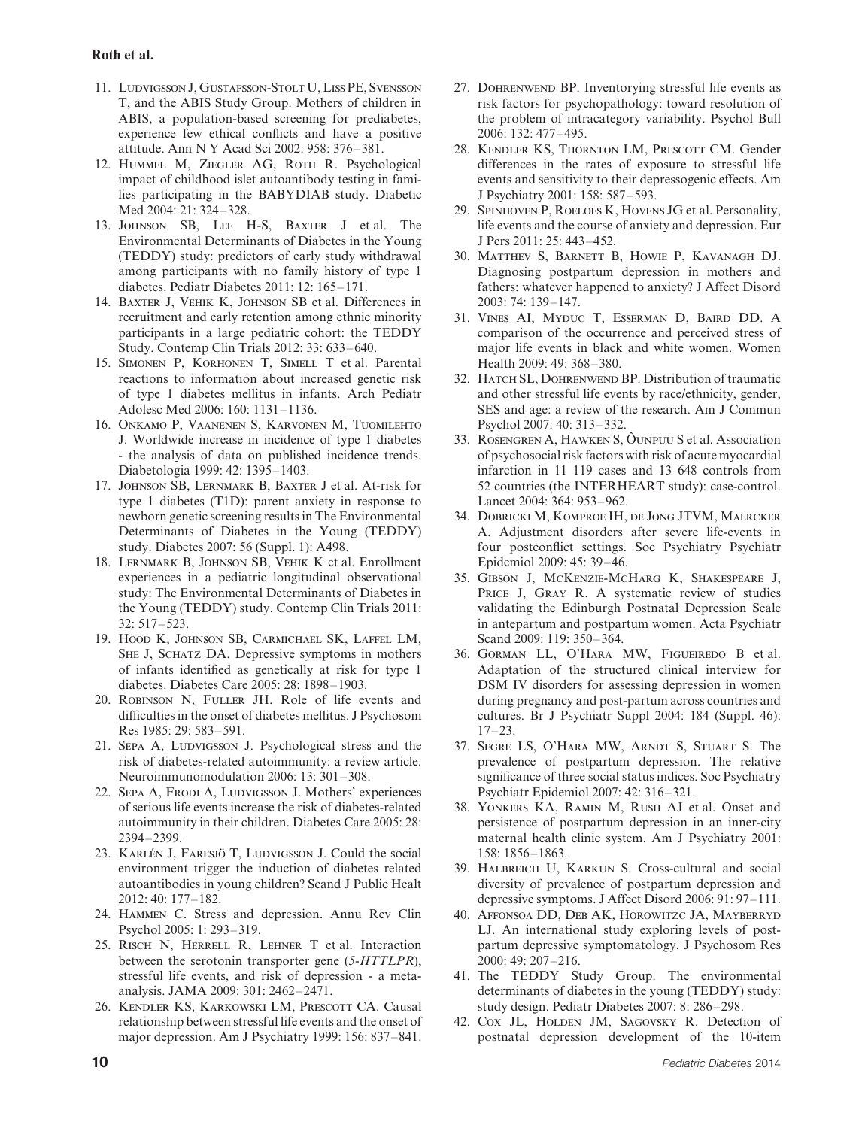#### **Roth et al.**

- 11. LUDVIGSSON J, GUSTAFSSON-STOLT U, LISS PE, SVENSSON T, and the ABIS Study Group. Mothers of children in ABIS, a population-based screening for prediabetes, experience few ethical conflicts and have a positive attitude. Ann N Y Acad Sci 2002: 958: 376–381.
- 12. Hummel M, Ziegler AG, Roth R. Psychological impact of childhood islet autoantibody testing in families participating in the BABYDIAB study. Diabetic Med 2004: 21: 324–328.
- 13. Johnson SB, Lee H-S, Baxter J et al. The Environmental Determinants of Diabetes in the Young (TEDDY) study: predictors of early study withdrawal among participants with no family history of type 1 diabetes. Pediatr Diabetes 2011: 12: 165–171.
- 14. Baxter J, Vehik K, Johnson SB et al. Differences in recruitment and early retention among ethnic minority participants in a large pediatric cohort: the TEDDY Study. Contemp Clin Trials 2012: 33: 633–640.
- 15. Simonen P, Korhonen T, Simell T et al. Parental reactions to information about increased genetic risk of type 1 diabetes mellitus in infants. Arch Pediatr Adolesc Med 2006: 160: 1131–1136.
- 16. Onkamo P, Vaanenen S, Karvonen M, Tuomilehto J. Worldwide increase in incidence of type 1 diabetes - the analysis of data on published incidence trends. Diabetologia 1999: 42: 1395–1403.
- 17. Johnson SB, Lernmark B, Baxter J et al. At-risk for type 1 diabetes (T1D): parent anxiety in response to newborn genetic screening results in The Environmental Determinants of Diabetes in the Young (TEDDY) study. Diabetes 2007: 56 (Suppl. 1): A498.
- 18. Lernmark B, Johnson SB, Vehik K et al. Enrollment experiences in a pediatric longitudinal observational study: The Environmental Determinants of Diabetes in the Young (TEDDY) study. Contemp Clin Trials 2011: 32: 517–523.
- 19. Hood K, Johnson SB, Carmichael SK, Laffel LM, SHE J, SCHATZ DA. Depressive symptoms in mothers of infants identified as genetically at risk for type 1 diabetes. Diabetes Care 2005: 28: 1898–1903.
- 20. Robinson N, Fuller JH. Role of life events and difficulties in the onset of diabetes mellitus. J Psychosom Res 1985: 29: 583–591.
- 21. Sepa A, Ludvigsson J. Psychological stress and the risk of diabetes-related autoimmunity: a review article. Neuroimmunomodulation 2006: 13: 301–308.
- 22. Sepa A, Frodi A, Ludvigsson J. Mothers' experiences of serious life events increase the risk of diabetes-related autoimmunity in their children. Diabetes Care 2005: 28: 2394–2399.
- 23. KARLÉN J, FARESJÖ T, LUDVIGSSON J. Could the social environment trigger the induction of diabetes related autoantibodies in young children? Scand J Public Healt 2012: 40: 177–182.
- 24. Hammen C. Stress and depression. Annu Rev Clin Psychol 2005: 1: 293–319.
- 25. Risch N, Herrell R, Lehner T et al. Interaction between the serotonin transporter gene (*5-HTTLPR*), stressful life events, and risk of depression - a metaanalysis. JAMA 2009: 301: 2462–2471.
- 26. Kendler KS, Karkowski LM, Prescott CA. Causal relationship between stressful life events and the onset of major depression. Am J Psychiatry 1999: 156: 837–841.
- 27. Dohrenwend BP. Inventorying stressful life events as risk factors for psychopathology: toward resolution of the problem of intracategory variability. Psychol Bull 2006: 132: 477–495.
- 28. Kendler KS, Thornton LM, Prescott CM. Gender differences in the rates of exposure to stressful life events and sensitivity to their depressogenic effects. Am J Psychiatry 2001: 158: 587–593.
- 29. Spinhoven P, Roelofs K, Hovens JG et al. Personality, life events and the course of anxiety and depression. Eur J Pers 2011: 25: 443–452.
- 30. Matthev S, Barnett B, Howie P, Kavanagh DJ. Diagnosing postpartum depression in mothers and fathers: whatever happened to anxiety? J Affect Disord 2003: 74: 139–147.
- 31. Vines AI, Myduc T, Esserman D, Baird DD. A comparison of the occurrence and perceived stress of major life events in black and white women. Women Health 2009: 49: 368–380.
- 32. HATCH SL, DOHRENWEND BP. Distribution of traumatic and other stressful life events by race/ethnicity, gender, SES and age: a review of the research. Am J Commun Psychol 2007: 40: 313–332.
- 33. ROSENGREN A, HAWKEN S, ÔUNPUU S et al. Association of psychosocial risk factors with risk of acute myocardial infarction in 11 119 cases and 13 648 controls from 52 countries (the INTERHEART study): case-control. Lancet 2004: 364: 953–962.
- 34. Dobricki M, Komproe IH, de Jong JTVM, Maercker A. Adjustment disorders after severe life-events in four postconflict settings. Soc Psychiatry Psychiatr Epidemiol 2009: 45: 39–46.
- 35. Gibson J, McKenzie-McHarg K, Shakespeare J, PRICE J, GRAY R. A systematic review of studies validating the Edinburgh Postnatal Depression Scale in antepartum and postpartum women. Acta Psychiatr Scand 2009: 119: 350–364.
- 36. Gorman LL, O'Hara MW, Figueiredo B et al. Adaptation of the structured clinical interview for DSM IV disorders for assessing depression in women during pregnancy and post-partum across countries and cultures. Br J Psychiatr Suppl 2004: 184 (Suppl. 46): 17–23.
- 37. Segre LS, O'Hara MW, Arndt S, Stuart S. The prevalence of postpartum depression. The relative significance of three social status indices. Soc Psychiatry Psychiatr Epidemiol 2007: 42: 316–321.
- 38. Yonkers KA, Ramin M, Rush AJ et al. Onset and persistence of postpartum depression in an inner-city maternal health clinic system. Am J Psychiatry 2001: 158: 1856–1863.
- 39. Halbreich U, Karkun S. Cross-cultural and social diversity of prevalence of postpartum depression and depressive symptoms. J Affect Disord 2006: 91: 97–111.
- 40. Affonsoa DD, Deb AK, Horowitzc JA, Mayberryd LJ. An international study exploring levels of postpartum depressive symptomatology. J Psychosom Res 2000: 49: 207–216.
- 41. The TEDDY Study Group. The environmental determinants of diabetes in the young (TEDDY) study: study design. Pediatr Diabetes 2007: 8: 286–298.
- 42. Cox JL, Holden JM, Sagovsky R. Detection of postnatal depression development of the 10-item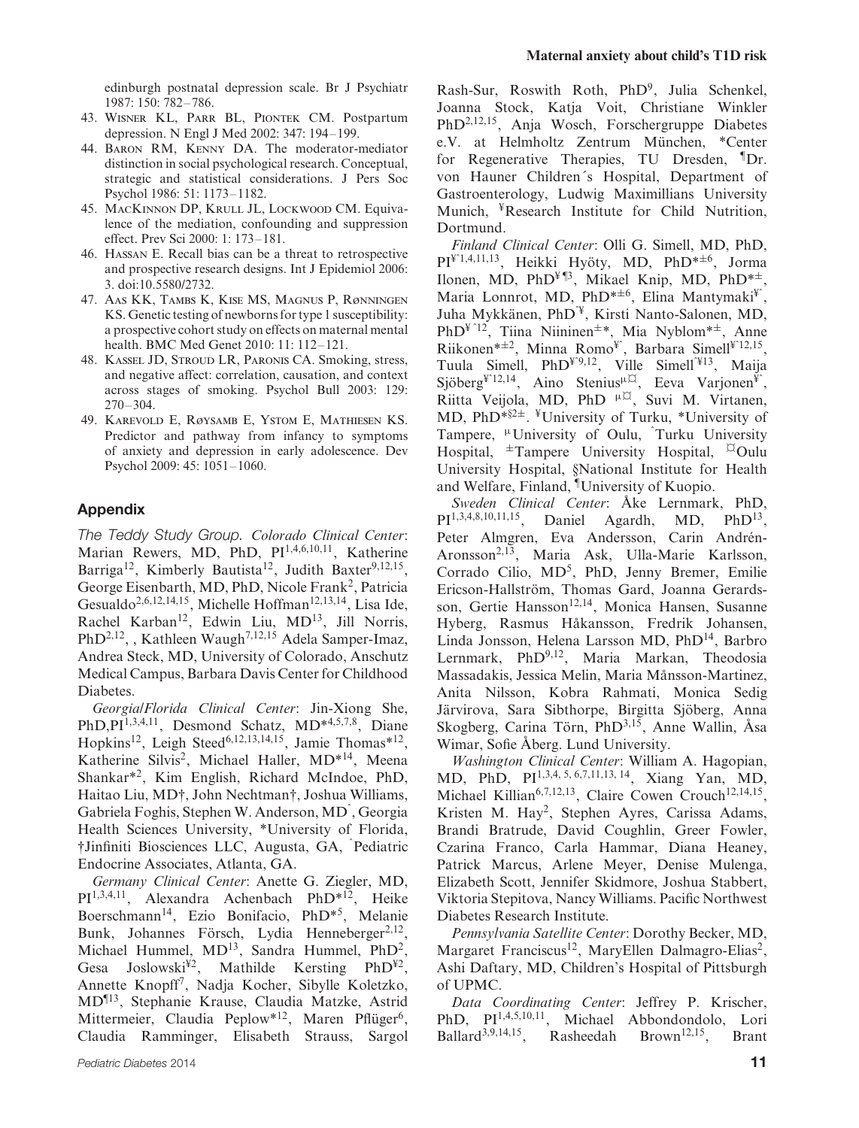edinburgh postnatal depression scale. Br J Psychiatr 1987: 150: 782–786.

- 43. Wisner KL, Parr BL, Piontek CM. Postpartum depression. N Engl J Med 2002: 347: 194–199.
- 44. Baron RM, Kenny DA. The moderator-mediator distinction in social psychological research. Conceptual, strategic and statistical considerations. J Pers Soc Psychol 1986: 51: 1173–1182.
- 45. MacKinnon DP, Krull JL, Lockwood CM. Equivalence of the mediation, confounding and suppression effect. Prev Sci 2000: 1: 173–181.
- 46. Hassan E. Recall bias can be a threat to retrospective and prospective research designs. Int J Epidemiol 2006: 3. doi:10.5580/2732.
- 47. Aas KK, Tambs K, Kise MS, Magnus P, Rønningen KS. Genetic testing of newborns for type 1 susceptibility: a prospective cohort study on effects on maternal mental health. BMC Med Genet 2010: 11: 112–121.
- 48. Kassel JD, Stroud LR, Paronis CA. Smoking, stress, and negative affect: correlation, causation, and context across stages of smoking. Psychol Bull 2003: 129: 270–304.
- 49. Karevold E, Røysamb E, Ystom E, Mathiesen KS. Predictor and pathway from infancy to symptoms of anxiety and depression in early adolescence. Dev Psychol 2009: 45: 1051–1060.

# **Appendix**

*The Teddy Study Group. Colorado Clinical Center*: Marian Rewers, MD, PhD, PI<sup>1,4,6,10,11</sup>, Katherine Barriga<sup>12</sup>, Kimberly Bautista<sup>12</sup>, Judith Baxter<sup>9,12,15</sup>, George Eisenbarth, MD, PhD, Nicole Frank<sup>2</sup>, Patricia Gesualdo<sup>2,6,12,14,15</sup>, Michelle Hoffman<sup>12,13,14</sup>, Lisa Ide, Rachel Karban<sup>12</sup>, Edwin Liu, MD<sup>13</sup>, Jill Norris, PhD<sup>2,12</sup>, , Kathleen Waugh<sup>7,12,15</sup> Adela Samper-Imaz, Andrea Steck, MD, University of Colorado, Anschutz Medical Campus, Barbara Davis Center for Childhood Diabetes.

*Georgia/Florida Clinical Center*: Jin-Xiong She, PhD,PI<sup>1,3,4,11</sup>, Desmond Schatz, MD<sup>\*4,5,7,8</sup>, Diane Hopkins<sup>12</sup>, Leigh Steed<sup>6,12,13,14,15</sup>, Jamie Thomas\*<sup>12</sup>, Katherine Silvis2, Michael Haller, MD\*14, Meena Shankar\*2, Kim English, Richard McIndoe, PhD, Haitao Liu, MD†, John Nechtman†, Joshua Williams, Gabriela Foghis, Stephen W. Anderson, MDˆ , Georgia Health Sciences University, \*University of Florida, †Jinfiniti Biosciences LLC, Augusta, GA, <sup>ˆ</sup> Pediatric Endocrine Associates, Atlanta, GA.

*Germany Clinical Center*: Anette G. Ziegler, MD, PI1,3,4,11, Alexandra Achenbach PhD\*12, Heike Boerschmann14, Ezio Bonifacio, PhD\*5, Melanie Bunk, Johannes Försch, Lydia Henneberger<sup>2,12</sup>, Michael Hummel, MD<sup>13</sup>, Sandra Hummel, PhD<sup>2</sup>, Gesa Joslowski<sup>¥2</sup>, Mathilde Kersting PhD<sup>¥2</sup>, Annette Knopff7, Nadja Kocher, Sibylle Koletzko, MD¶13, Stephanie Krause, Claudia Matzke, Astrid Mittermeier, Claudia Peplow\*<sup>12</sup>, Maren Pflüger<sup>6</sup>, Claudia Ramminger, Elisabeth Strauss, Sargol Rash-Sur, Roswith Roth, PhD9, Julia Schenkel, Joanna Stock, Katja Voit, Christiane Winkler PhD2,12,15, Anja Wosch, Forschergruppe Diabetes e.V. at Helmholtz Zentrum München, \*Center for Regenerative Therapies, TU Dresden, <sup>¶</sup>Dr. von Hauner Children's Hospital, Department of Gastroenterology, Ludwig Maximillians University Munich, ¥Research Institute for Child Nutrition, Dortmund.

*Finland Clinical Center*: Olli G. Simell, MD, PhD,  $PI^{4.1,4,11,13}$ , Heikki Hyöty, MD, PhD<sup>\*±6</sup>, Jorma Ilonen, MD, PhD<sup> $\frac{1}{2}$ ¶<sup>3</sup>, Mikael Knip, MD, PhD<sup>\*±</sup>,</sup> Maria Lonnrot, MD, PhD<sup>\*±6</sup>, Elina Mantymaki<sup>¥</sup><sup> $\cdot$ </sup>, Juha Mykkänen, PhD<sup>¥</sup>, Kirsti Nanto-Salonen, MD, PhD¥ ˆ12, Tiina Niininen±\*, Mia Nyblom\*±, Anne Riikonen\* $\pm 2$ , Minna Romo<sup>¥</sup>, Barbara Simell<sup>¥</sup><sup>12,15</sup>, Tuula Simell,  $PhD<sup>\gamma</sup>9,12$ , Ville Simell<sup> $413$ </sup>, Maija  $Sj\ddot{\theta} \text{berg}^{\dot{\varphi} \dot{\varphi}}$  Aino Stenius<sup>µ $\ddot{\varphi}$ </sup>, Eeva Varjonen<sup>¥</sup><sup>°</sup>, Riitta Veijola, MD, PhD <sup>μ $\alpha$ </sup>, Suvi M. Virtanen, MD, PhD\*§2±. ¥University of Turku, \*University of Tampere, <sup>µ</sup>University of Oulu, Turku University Hospital,  $\pm$ Tampere University Hospital, <sup> $\text{Q}$ </sup>Oulu University Hospital, §National Institute for Health and Welfare, Finland, ¶University of Kuopio.

*Sweden Clinical Center: Åke Lernmark, PhD,* PI1,3,4,8,10,11,15, Daniel Agardh, MD, PhD13, Peter Almgren, Eva Andersson, Carin Andrén-Aronsson2,13, Maria Ask, Ulla-Marie Karlsson, Corrado Cilio, MD<sup>5</sup>, PhD, Jenny Bremer, Emilie Ericson-Hallström, Thomas Gard, Joanna Gerardsson, Gertie Hansson<sup>12,14</sup>, Monica Hansen, Susanne Hyberg, Rasmus Håkansson, Fredrik Johansen, Linda Jonsson, Helena Larsson MD, PhD14, Barbro Lernmark, PhD<sup>9,12</sup>, Maria Markan, Theodosia Massadakis, Jessica Melin, Maria Månsson-Martinez, Anita Nilsson, Kobra Rahmati, Monica Sedig Järvirova, Sara Sibthorpe, Birgitta Sjöberg, Anna Skogberg, Carina Törn, Ph $D^{3,15}$ , Anne Wallin, Åsa Wimar, Sofie Åberg. Lund University.

*Washington Clinical Center*: William A. Hagopian, MD, PhD, PI1,3,4, 5, 6,7,11,13, 14, Xiang Yan, MD, Michael Killian<sup>6,7,12,13</sup>, Claire Cowen Crouch<sup>12,14,15</sup>, Kristen M. Hay2, Stephen Ayres, Carissa Adams, Brandi Bratrude, David Coughlin, Greer Fowler, Czarina Franco, Carla Hammar, Diana Heaney, Patrick Marcus, Arlene Meyer, Denise Mulenga, Elizabeth Scott, Jennifer Skidmore, Joshua Stabbert, Viktoria Stepitova, Nancy Williams. Pacific Northwest Diabetes Research Institute.

*Pennsylvania Satellite Center*: Dorothy Becker, MD, Margaret Franciscus<sup>12</sup>, MaryEllen Dalmagro-Elias<sup>2</sup>, Ashi Daftary, MD, Children's Hospital of Pittsburgh of UPMC.

*Data Coordinating Center*: Jeffrey P. Krischer, PhD, PI<sup>1,4,5,10,11</sup>, Michael Abbondondolo, Lori Ballard<sup>3,9,14,15</sup>, Rasheedah Brown<sup>12,15</sup>, Brant